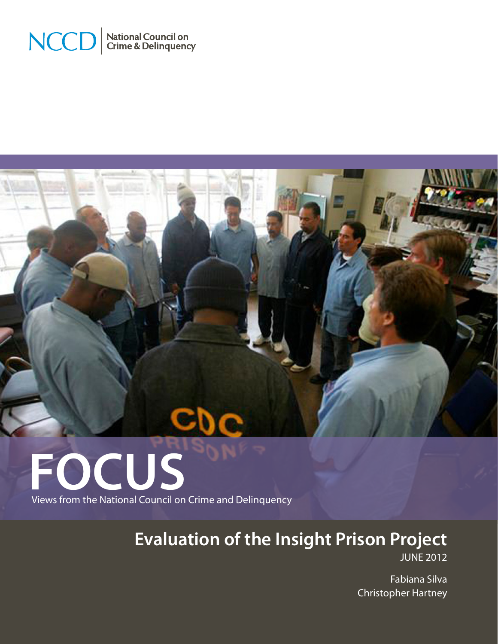



# **FOCUS** Views from the National Council on Crime and Delinquency

**Evaluation of the Insight Prison Project**

JUNE 2012

Fabiana Silva Christopher Hartney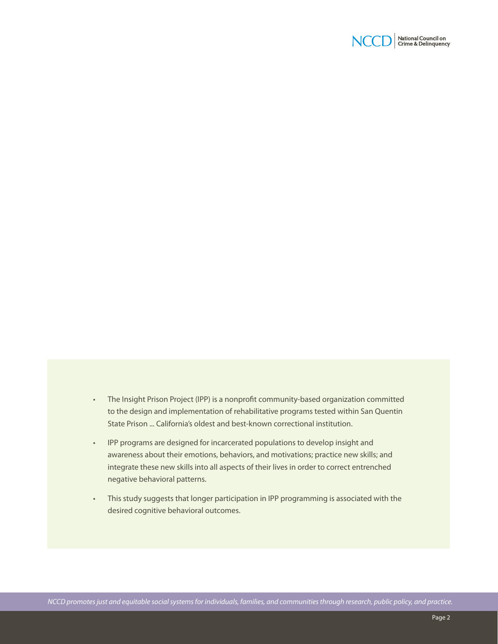

- • The Insight Prison Project (IPP) is a nonprofit community-based organization committed to the design and implementation of rehabilitative programs tested within San Quentin State Prison ... California's oldest and best-known correctional institution.
- • IPP programs are designed for incarcerated populations to develop insight and awareness about their emotions, behaviors, and motivations; practice new skills; and integrate these new skills into all aspects of their lives in order to correct entrenched negative behavioral patterns.
- This study suggests that longer participation in IPP programming is associated with the desired cognitive behavioral outcomes.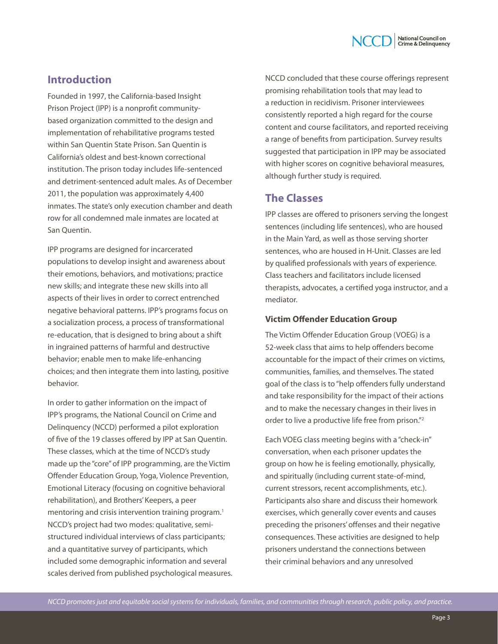

# **Introduction**

Founded in 1997, the California-based Insight Prison Project (IPP) is a nonprofit communitybased organization committed to the design and implementation of rehabilitative programs tested within San Quentin State Prison. San Quentin is California's oldest and best-known correctional institution. The prison today includes life-sentenced and detriment-sentenced adult males. As of December 2011, the population was approximately 4,400 inmates. The state's only execution chamber and death row for all condemned male inmates are located at San Quentin.

IPP programs are designed for incarcerated populations to develop insight and awareness about their emotions, behaviors, and motivations; practice new skills; and integrate these new skills into all aspects of their lives in order to correct entrenched negative behavioral patterns. IPP's programs focus on a socialization process, a process of transformational re-education, that is designed to bring about a shift in ingrained patterns of harmful and destructive behavior; enable men to make life-enhancing choices; and then integrate them into lasting, positive behavior.

In order to gather information on the impact of IPP's programs, the National Council on Crime and Delinquency (NCCD) performed a pilot exploration of five of the 19 classes offered by IPP at San Quentin. These classes, which at the time of NCCD's study made up the "core" of IPP programming, are the Victim Offender Education Group, Yoga, Violence Prevention, Emotional Literacy (focusing on cognitive behavioral rehabilitation), and Brothers' Keepers, a peer mentoring and crisis intervention training program.<sup>1</sup> NCCD's project had two modes: qualitative, semistructured individual interviews of class participants; and a quantitative survey of participants, which included some demographic information and several scales derived from published psychological measures. NCCD concluded that these course offerings represent promising rehabilitation tools that may lead to a reduction in recidivism. Prisoner interviewees consistently reported a high regard for the course content and course facilitators, and reported receiving a range of benefits from participation. Survey results suggested that participation in IPP may be associated with higher scores on cognitive behavioral measures, although further study is required.

# **The Classes**

IPP classes are offered to prisoners serving the longest sentences (including life sentences), who are housed in the Main Yard, as well as those serving shorter sentences, who are housed in H-Unit. Classes are led by qualified professionals with years of experience. Class teachers and facilitators include licensed therapists, advocates, a certified yoga instructor, and a mediator.

## **Victim Offender Education Group**

The Victim Offender Education Group (VOEG) is a 52-week class that aims to help offenders become accountable for the impact of their crimes on victims, communities, families, and themselves. The stated goal of the class is to "help offenders fully understand and take responsibility for the impact of their actions and to make the necessary changes in their lives in order to live a productive life free from prison."2

Each VOEG class meeting begins with a "check-in" conversation, when each prisoner updates the group on how he is feeling emotionally, physically, and spiritually (including current state-of-mind, current stressors, recent accomplishments, etc.). Participants also share and discuss their homework exercises, which generally cover events and causes preceding the prisoners' offenses and their negative consequences. These activities are designed to help prisoners understand the connections between their criminal behaviors and any unresolved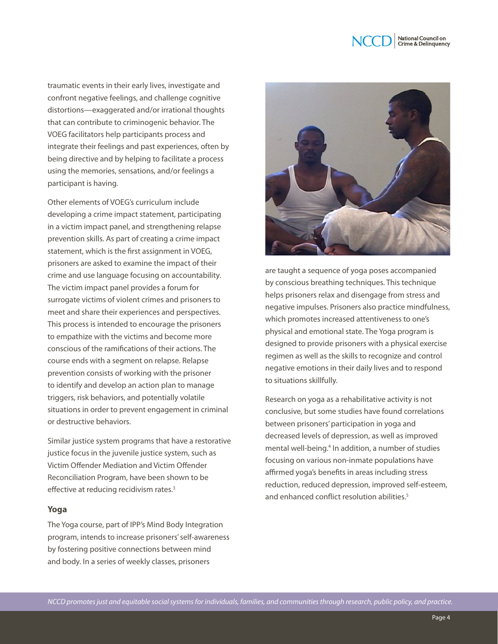

traumatic events in their early lives, investigate and confront negative feelings, and challenge cognitive distortions—exaggerated and/or irrational thoughts that can contribute to criminogenic behavior. The VOEG facilitators help participants process and integrate their feelings and past experiences, often by being directive and by helping to facilitate a process using the memories, sensations, and/or feelings a participant is having.

Other elements of VOEG's curriculum include developing a crime impact statement, participating in a victim impact panel, and strengthening relapse prevention skills. As part of creating a crime impact statement, which is the first assignment in VOEG, prisoners are asked to examine the impact of their crime and use language focusing on accountability. The victim impact panel provides a forum for surrogate victims of violent crimes and prisoners to meet and share their experiences and perspectives. This process is intended to encourage the prisoners to empathize with the victims and become more conscious of the ramifications of their actions. The course ends with a segment on relapse. Relapse prevention consists of working with the prisoner to identify and develop an action plan to manage triggers, risk behaviors, and potentially volatile situations in order to prevent engagement in criminal or destructive behaviors.

Similar justice system programs that have a restorative justice focus in the juvenile justice system, such as Victim Offender Mediation and Victim Offender Reconciliation Program, have been shown to be effective at reducing recidivism rates.<sup>3</sup>

## **Yoga**

The Yoga course, part of IPP's Mind Body Integration program, intends to increase prisoners' self-awareness by fostering positive connections between mind and body. In a series of weekly classes, prisoners



are taught a sequence of yoga poses accompanied by conscious breathing techniques. This technique helps prisoners relax and disengage from stress and negative impulses. Prisoners also practice mindfulness, which promotes increased attentiveness to one's physical and emotional state. The Yoga program is designed to provide prisoners with a physical exercise regimen as well as the skills to recognize and control negative emotions in their daily lives and to respond to situations skillfully.

Research on yoga as a rehabilitative activity is not conclusive, but some studies have found correlations between prisoners' participation in yoga and decreased levels of depression, as well as improved mental well-being.<sup>4</sup> In addition, a number of studies focusing on various non-inmate populations have affirmed yoga's benefits in areas including stress reduction, reduced depression, improved self-esteem, and enhanced conflict resolution abilities<sup>5</sup>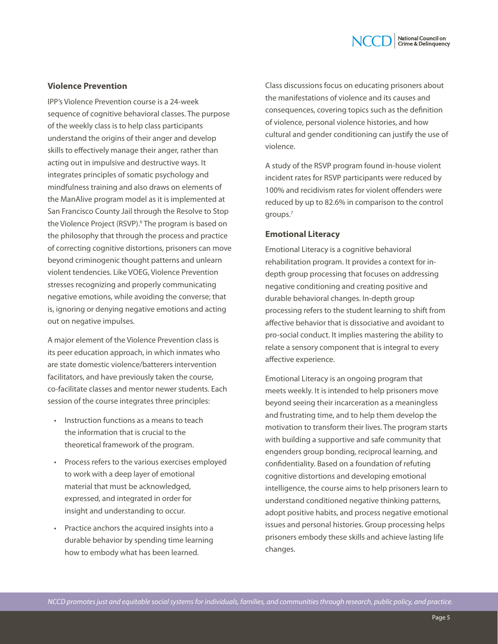## **Violence Prevention**

IPP's Violence Prevention course is a 24-week sequence of cognitive behavioral classes. The purpose of the weekly class is to help class participants understand the origins of their anger and develop skills to effectively manage their anger, rather than acting out in impulsive and destructive ways. It integrates principles of somatic psychology and mindfulness training and also draws on elements of the ManAlive program model as it is implemented at San Francisco County Jail through the Resolve to Stop the Violence Project (RSVP).<sup>6</sup> The program is based on the philosophy that through the process and practice of correcting cognitive distortions, prisoners can move beyond criminogenic thought patterns and unlearn violent tendencies. Like VOEG, Violence Prevention stresses recognizing and properly communicating negative emotions, while avoiding the converse; that is, ignoring or denying negative emotions and acting out on negative impulses.

A major element of the Violence Prevention class is its peer education approach, in which inmates who are state domestic violence/batterers intervention facilitators, and have previously taken the course, co-facilitate classes and mentor newer students. Each session of the course integrates three principles:

- Instruction functions as a means to teach the information that is crucial to the theoretical framework of the program.
- Process refers to the various exercises employed to work with a deep layer of emotional material that must be acknowledged, expressed, and integrated in order for insight and understanding to occur.
- • Practice anchors the acquired insights into a durable behavior by spending time learning how to embody what has been learned.

Class discussions focus on educating prisoners about the manifestations of violence and its causes and consequences, covering topics such as the definition of violence, personal violence histories, and how cultural and gender conditioning can justify the use of violence.

National Council on<br>Crime & Delinguency

A study of the RSVP program found in-house violent incident rates for RSVP participants were reduced by 100% and recidivism rates for violent offenders were reduced by up to 82.6% in comparison to the control groups.7

#### **Emotional Literacy**

Emotional Literacy is a cognitive behavioral rehabilitation program. It provides a context for indepth group processing that focuses on addressing negative conditioning and creating positive and durable behavioral changes. In-depth group processing refers to the student learning to shift from affective behavior that is dissociative and avoidant to pro-social conduct. It implies mastering the ability to relate a sensory component that is integral to every affective experience.

Emotional Literacy is an ongoing program that meets weekly. It is intended to help prisoners move beyond seeing their incarceration as a meaningless and frustrating time, and to help them develop the motivation to transform their lives. The program starts with building a supportive and safe community that engenders group bonding, reciprocal learning, and confidentiality. Based on a foundation of refuting cognitive distortions and developing emotional intelligence, the course aims to help prisoners learn to understand conditioned negative thinking patterns, adopt positive habits, and process negative emotional issues and personal histories. Group processing helps prisoners embody these skills and achieve lasting life changes.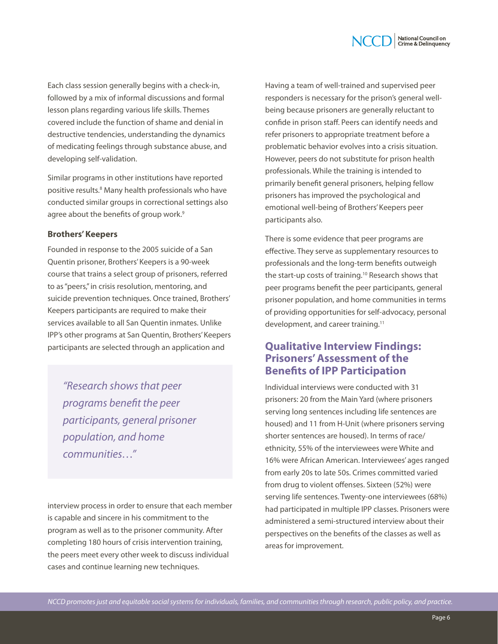

Each class session generally begins with a check-in, followed by a mix of informal discussions and formal lesson plans regarding various life skills. Themes covered include the function of shame and denial in destructive tendencies, understanding the dynamics of medicating feelings through substance abuse, and developing self-validation.

Similar programs in other institutions have reported positive results.<sup>8</sup> Many health professionals who have conducted similar groups in correctional settings also agree about the benefits of group work.<sup>9</sup>

#### **Brothers' Keepers**

Founded in response to the 2005 suicide of a San Quentin prisoner, Brothers' Keepers is a 90-week course that trains a select group of prisoners, referred to as "peers," in crisis resolution, mentoring, and suicide prevention techniques. Once trained, Brothers' Keepers participants are required to make their services available to all San Quentin inmates. Unlike IPP's other programs at San Quentin, Brothers' Keepers participants are selected through an application and

*"Research shows that peer programs benefit the peer participants, general prisoner population, and home communities…"*

interview process in order to ensure that each member is capable and sincere in his commitment to the program as well as to the prisoner community. After completing 180 hours of crisis intervention training, the peers meet every other week to discuss individual cases and continue learning new techniques.

Having a team of well-trained and supervised peer responders is necessary for the prison's general wellbeing because prisoners are generally reluctant to confide in prison staff. Peers can identify needs and refer prisoners to appropriate treatment before a problematic behavior evolves into a crisis situation. However, peers do not substitute for prison health professionals. While the training is intended to primarily benefit general prisoners, helping fellow prisoners has improved the psychological and emotional well-being of Brothers' Keepers peer participants also.

There is some evidence that peer programs are effective. They serve as supplementary resources to professionals and the long-term benefits outweigh the start-up costs of training.<sup>10</sup> Research shows that peer programs benefit the peer participants, general prisoner population, and home communities in terms of providing opportunities for self-advocacy, personal development, and career training.<sup>11</sup>

# **Qualitative Interview Findings: Prisoners' Assessment of the Benefits of IPP Participation**

Individual interviews were conducted with 31 prisoners: 20 from the Main Yard (where prisoners serving long sentences including life sentences are housed) and 11 from H-Unit (where prisoners serving shorter sentences are housed). In terms of race/ ethnicity, 55% of the interviewees were White and 16% were African American. Interviewees' ages ranged from early 20s to late 50s. Crimes committed varied from drug to violent offenses. Sixteen (52%) were serving life sentences. Twenty-one interviewees (68%) had participated in multiple IPP classes. Prisoners were administered a semi-structured interview about their perspectives on the benefits of the classes as well as areas for improvement.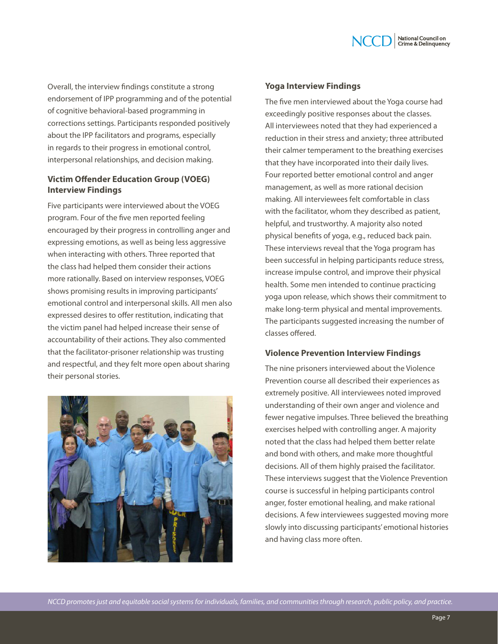

Overall, the interview findings constitute a strong endorsement of IPP programming and of the potential of cognitive behavioral-based programming in corrections settings. Participants responded positively about the IPP facilitators and programs, especially in regards to their progress in emotional control, interpersonal relationships, and decision making.

## **Victim Offender Education Group (VOEG) Interview Findings**

Five participants were interviewed about the VOEG program. Four of the five men reported feeling encouraged by their progress in controlling anger and expressing emotions, as well as being less aggressive when interacting with others. Three reported that the class had helped them consider their actions more rationally. Based on interview responses, VOEG shows promising results in improving participants' emotional control and interpersonal skills. All men also expressed desires to offer restitution, indicating that the victim panel had helped increase their sense of accountability of their actions. They also commented that the facilitator-prisoner relationship was trusting and respectful, and they felt more open about sharing their personal stories.



#### **Yoga Interview Findings**

The five men interviewed about the Yoga course had exceedingly positive responses about the classes. All interviewees noted that they had experienced a reduction in their stress and anxiety; three attributed their calmer temperament to the breathing exercises that they have incorporated into their daily lives. Four reported better emotional control and anger management, as well as more rational decision making. All interviewees felt comfortable in class with the facilitator, whom they described as patient, helpful, and trustworthy. A majority also noted physical benefits of yoga, e.g., reduced back pain. These interviews reveal that the Yoga program has been successful in helping participants reduce stress, increase impulse control, and improve their physical health. Some men intended to continue practicing yoga upon release, which shows their commitment to make long-term physical and mental improvements. The participants suggested increasing the number of classes offered.

## **Violence Prevention Interview Findings**

The nine prisoners interviewed about the Violence Prevention course all described their experiences as extremely positive. All interviewees noted improved understanding of their own anger and violence and fewer negative impulses. Three believed the breathing exercises helped with controlling anger. A majority noted that the class had helped them better relate and bond with others, and make more thoughtful decisions. All of them highly praised the facilitator. These interviews suggest that the Violence Prevention course is successful in helping participants control anger, foster emotional healing, and make rational decisions. A few interviewees suggested moving more slowly into discussing participants' emotional histories and having class more often.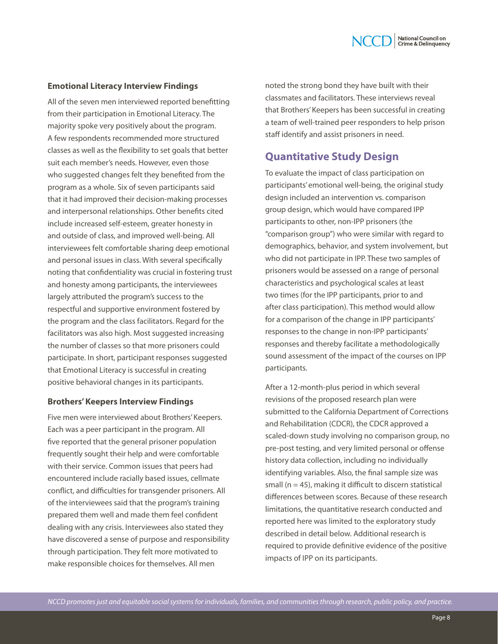

## **Emotional Literacy Interview Findings**

All of the seven men interviewed reported benefitting from their participation in Emotional Literacy. The majority spoke very positively about the program. A few respondents recommended more structured classes as well as the flexibility to set goals that better suit each member's needs. However, even those who suggested changes felt they benefited from the program as a whole. Six of seven participants said that it had improved their decision-making processes and interpersonal relationships. Other benefits cited include increased self-esteem, greater honesty in and outside of class, and improved well-being. All interviewees felt comfortable sharing deep emotional and personal issues in class. With several specifically noting that confidentiality was crucial in fostering trust and honesty among participants, the interviewees largely attributed the program's success to the respectful and supportive environment fostered by the program and the class facilitators. Regard for the facilitators was also high. Most suggested increasing the number of classes so that more prisoners could participate. In short, participant responses suggested that Emotional Literacy is successful in creating positive behavioral changes in its participants.

## **Brothers' Keepers Interview Findings**

Five men were interviewed about Brothers' Keepers. Each was a peer participant in the program. All five reported that the general prisoner population frequently sought their help and were comfortable with their service. Common issues that peers had encountered include racially based issues, cellmate conflict, and difficulties for transgender prisoners. All of the interviewees said that the program's training prepared them well and made them feel confident dealing with any crisis. Interviewees also stated they have discovered a sense of purpose and responsibility through participation. They felt more motivated to make responsible choices for themselves. All men

noted the strong bond they have built with their classmates and facilitators. These interviews reveal that Brothers' Keepers has been successful in creating a team of well-trained peer responders to help prison staff identify and assist prisoners in need.

# **Quantitative Study Design**

To evaluate the impact of class participation on participants' emotional well-being, the original study design included an intervention vs. comparison group design, which would have compared IPP participants to other, non-IPP prisoners (the "comparison group") who were similar with regard to demographics, behavior, and system involvement, but who did not participate in IPP. These two samples of prisoners would be assessed on a range of personal characteristics and psychological scales at least two times (for the IPP participants, prior to and after class participation). This method would allow for a comparison of the change in IPP participants' responses to the change in non-IPP participants' responses and thereby facilitate a methodologically sound assessment of the impact of the courses on IPP participants.

After a 12-month-plus period in which several revisions of the proposed research plan were submitted to the California Department of Corrections and Rehabilitation (CDCR), the CDCR approved a scaled-down study involving no comparison group, no pre-post testing, and very limited personal or offense history data collection, including no individually identifying variables. Also, the final sample size was small ( $n = 45$ ), making it difficult to discern statistical differences between scores. Because of these research limitations, the quantitative research conducted and reported here was limited to the exploratory study described in detail below. Additional research is required to provide definitive evidence of the positive impacts of IPP on its participants.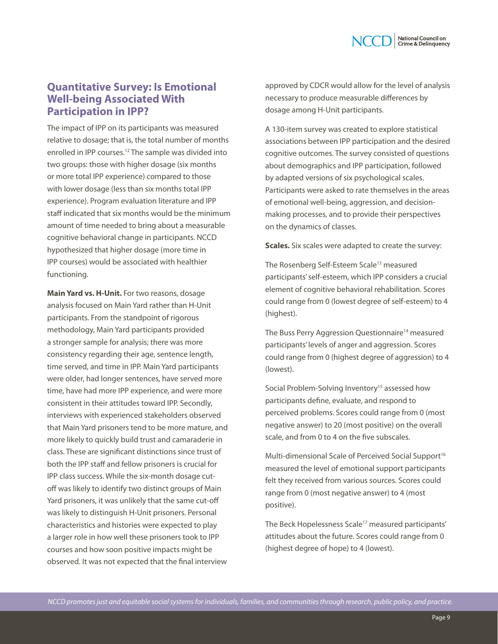# **Quantitative Survey: Is Emotional Well-being Associated With Participation in IPP?**

The impact of IPP on its participants was measured relative to dosage; that is, the total number of months enrolled in IPP courses.12 The sample was divided into two groups: those with higher dosage (six months or more total IPP experience) compared to those with lower dosage (less than six months total IPP experience). Program evaluation literature and IPP staff indicated that six months would be the minimum amount of time needed to bring about a measurable cognitive behavioral change in participants. NCCD hypothesized that higher dosage (more time in IPP courses) would be associated with healthier functioning.

**Main Yard vs. H-Unit.** For two reasons, dosage analysis focused on Main Yard rather than H-Unit participants. From the standpoint of rigorous methodology, Main Yard participants provided a stronger sample for analysis; there was more consistency regarding their age, sentence length, time served, and time in IPP. Main Yard participants were older, had longer sentences, have served more time, have had more IPP experience, and were more consistent in their attitudes toward IPP. Secondly, interviews with experienced stakeholders observed that Main Yard prisoners tend to be more mature, and more likely to quickly build trust and camaraderie in class. These are significant distinctions since trust of both the IPP staff and fellow prisoners is crucial for IPP class success. While the six-month dosage cutoff was likely to identify two distinct groups of Main Yard prisoners, it was unlikely that the same cut-off was likely to distinguish H-Unit prisoners. Personal characteristics and histories were expected to play a larger role in how well these prisoners took to IPP courses and how soon positive impacts might be observed. It was not expected that the final interview

approved by CDCR would allow for the level of analysis necessary to produce measurable differences by dosage among H-Unit participants.

A 130-item survey was created to explore statistical associations between IPP participation and the desired cognitive outcomes. The survey consisted of questions about demographics and IPP participation, followed by adapted versions of six psychological scales. Participants were asked to rate themselves in the areas of emotional well-being, aggression, and decisionmaking processes, and to provide their perspectives on the dynamics of classes.

**Scales.** Six scales were adapted to create the survey:

The Rosenberg Self-Esteem Scale<sup>13</sup> measured participants' self-esteem, which IPP considers a crucial element of cognitive behavioral rehabilitation. Scores could range from 0 (lowest degree of self-esteem) to 4 (highest).

The Buss Perry Aggression Questionnaire<sup>14</sup> measured participants' levels of anger and aggression. Scores could range from 0 (highest degree of aggression) to 4 (lowest).

Social Problem-Solving Inventory<sup>15</sup> assessed how participants define, evaluate, and respond to perceived problems. Scores could range from 0 (most negative answer) to 20 (most positive) on the overall scale, and from 0 to 4 on the five subscales.

Multi-dimensional Scale of Perceived Social Support<sup>16</sup> measured the level of emotional support participants felt they received from various sources. Scores could range from 0 (most negative answer) to 4 (most positive).

The Beck Hopelessness Scale<sup>17</sup> measured participants' attitudes about the future. Scores could range from 0 (highest degree of hope) to 4 (lowest).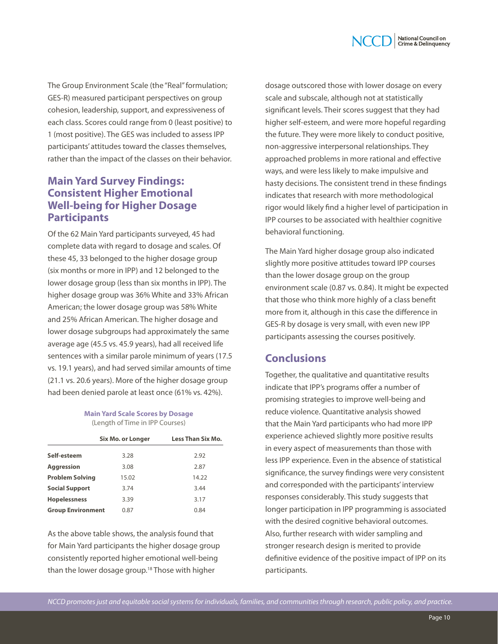

The Group Environment Scale (the "Real" formulation; GES-R) measured participant perspectives on group cohesion, leadership, support, and expressiveness of each class. Scores could range from 0 (least positive) to 1 (most positive). The GES was included to assess IPP participants' attitudes toward the classes themselves, rather than the impact of the classes on their behavior.

# **Main Yard Survey Findings: Consistent Higher Emotional Well-being for Higher Dosage Participants**

Of the 62 Main Yard participants surveyed, 45 had complete data with regard to dosage and scales. Of these 45, 33 belonged to the higher dosage group (six months or more in IPP) and 12 belonged to the lower dosage group (less than six months in IPP). The higher dosage group was 36% White and 33% African American; the lower dosage group was 58% White and 25% African American. The higher dosage and lower dosage subgroups had approximately the same average age (45.5 vs. 45.9 years), had all received life sentences with a similar parole minimum of years (17.5 vs. 19.1 years), and had served similar amounts of time (21.1 vs. 20.6 years). More of the higher dosage group had been denied parole at least once (61% vs. 42%).

#### **Main Yard Scale Scores by Dosage**  (Length of Time in IPP Courses)

|                          | Six Mo. or Longer | <b>Less Than Six Mo.</b> |
|--------------------------|-------------------|--------------------------|
| Self-esteem              | 3.28              | 2.92                     |
| <b>Aggression</b>        | 3.08              | 2.87                     |
| <b>Problem Solving</b>   | 15.02             | 14.22                    |
| <b>Social Support</b>    | 3.74              | 3.44                     |
| <b>Hopelessness</b>      | 3.39              | 3.17                     |
| <b>Group Environment</b> | 0.87              | 0.84                     |

As the above table shows, the analysis found that for Main Yard participants the higher dosage group consistently reported higher emotional well-being than the lower dosage group.<sup>18</sup> Those with higher

dosage outscored those with lower dosage on every scale and subscale, although not at statistically significant levels. Their scores suggest that they had higher self-esteem, and were more hopeful regarding the future. They were more likely to conduct positive, non-aggressive interpersonal relationships. They approached problems in more rational and effective ways, and were less likely to make impulsive and hasty decisions. The consistent trend in these findings indicates that research with more methodological rigor would likely find a higher level of participation in IPP courses to be associated with healthier cognitive behavioral functioning.

The Main Yard higher dosage group also indicated slightly more positive attitudes toward IPP courses than the lower dosage group on the group environment scale (0.87 vs. 0.84). It might be expected that those who think more highly of a class benefit more from it, although in this case the difference in GES-R by dosage is very small, with even new IPP participants assessing the courses positively.

# **Conclusions**

Together, the qualitative and quantitative results indicate that IPP's programs offer a number of promising strategies to improve well-being and reduce violence. Quantitative analysis showed that the Main Yard participants who had more IPP experience achieved slightly more positive results in every aspect of measurements than those with less IPP experience. Even in the absence of statistical significance, the survey findings were very consistent and corresponded with the participants' interview responses considerably. This study suggests that longer participation in IPP programming is associated with the desired cognitive behavioral outcomes. Also, further research with wider sampling and stronger research design is merited to provide definitive evidence of the positive impact of IPP on its participants.